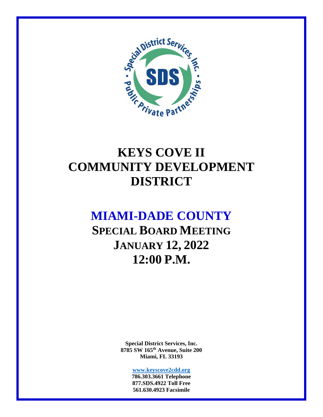

# **KEYS COVE II COMMUNITY DEVELOPMENT DISTRICT**

## **MIAMI-DADE COUNTY**

**SPECIAL BOARD MEETING JANUARY 12, 2022 12:00 P.M.** 

> **Special District Services, Inc. 8785 SW 165th Avenue, Suite 200 Miami, FL 33193**

> > **www.keyscove2cdd.org 786.303.3661 Telephone 877.SDS.4922 Toll Free 561.630.4923 Facsimile**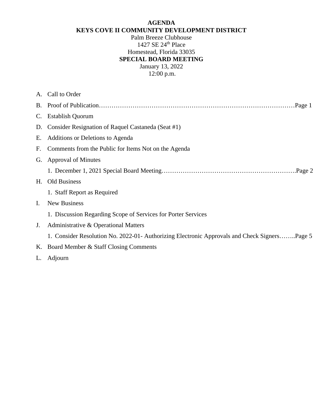#### **AGENDA KEYS COVE II COMMUNITY DEVELOPMENT DISTRICT**

Palm Breeze Clubhouse 1427 SE 24th Place Homestead, Florida 33035 **SPECIAL BOARD MEETING**  January 13, 2022

12:00 p.m.

|             | A. Call to Order                                                                             |  |  |
|-------------|----------------------------------------------------------------------------------------------|--|--|
|             |                                                                                              |  |  |
| $C_{\cdot}$ | <b>Establish Quorum</b>                                                                      |  |  |
| D.          | Consider Resignation of Raquel Castaneda (Seat #1)                                           |  |  |
| Е.          | Additions or Deletions to Agenda                                                             |  |  |
| F.          | Comments from the Public for Items Not on the Agenda                                         |  |  |
| G.          | <b>Approval of Minutes</b>                                                                   |  |  |
|             |                                                                                              |  |  |
| H.          | <b>Old Business</b>                                                                          |  |  |
|             | 1. Staff Report as Required                                                                  |  |  |
| Ι.          | New Business                                                                                 |  |  |
|             | 1. Discussion Regarding Scope of Services for Porter Services                                |  |  |
| J.          | Administrative & Operational Matters                                                         |  |  |
|             | 1. Consider Resolution No. 2022-01- Authorizing Electronic Approvals and Check SignersPage 5 |  |  |
| K.          | Board Member & Staff Closing Comments                                                        |  |  |
| L.          | Adjourn                                                                                      |  |  |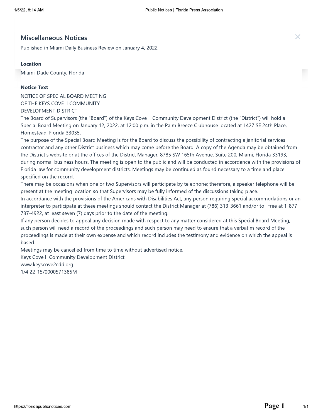THE MISCELLAND THE MISCELLAND Public Manuary 2, 2022<br> **Example 18 .** Milami Daily Business Review on January 4, 2022<br> **Example 2013:**<br> **Example 2013:**<br> **Notice Text<br>
NOTICE OF SPECIAL BOARD MEETING<br>
OF THE KEYS COVE II COM** DEVELOPMENT DISTRICT

> The Board of Supervisors (the "Board") of the Keys Cove II Community Development District (the "District") will hold a Special Board Meeting on January 12, 2022, at 12:00 p.m. in the Palm Breeze Clubhouse located at 1427 SE 24th Place, Homestead, Florida 33035.

The purpose of the Special Board Meeting is for the Board to discuss the possibility of contracting a janitorial services contractor and any other District business which may come before the Board. A copy of the Agenda may be obtained from the District's website or at the offices of the District Manager, 8785 SW 165th Avenue, Suite 200, Miami, Florida 33193, during normal business hours. The meeting is open to the public and will be conducted in accordance with the provisions of Florida law for community development districts. Meetings may be continued as found necessary to a time and place specified on the record.

There may be occasions when one or two Supervisors will participate by telephone; therefore, a speaker telephone will be present at the meeting location so that Supervisors may be fully informed of the discussions taking place.

In accordance with the provisions of the Americans with Disabilities Act, any person requiring special accommodations or an interpreter to participate at these meetings should contact the District Manager at (786) 313-3661 and/or toll free at 1-877- $737-4922$ , at least seven (7) days prior to the date of the meeting.

If any person decides to appeal any decision made with respect to any matter considered at this Special Board Meeting, such person will need a record of the proceedings and such person may need to ensure that a verbatim record of the proceedings is made at their own expense and which record includes the testimony and evidence on which the appeal is based.

Meetings may be cancelled from time to time without advertised notice.

Keys Cove II Community Development District www.keyscove2cdd.org

1/4 22-15/0000571385M

nttps://fio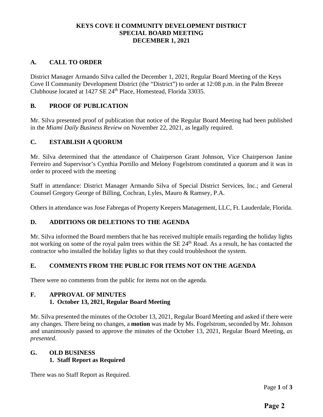#### **KEYS COVE II COMMUNITY DEVELOPMENT DISTRICT SPECIAL BOARD MEETING DECEMBER 1, 2021**

#### **A. CALL TO ORDER**

District Manager Armando Silva called the December 1, 2021, Regular Board Meeting of the Keys Cove II Community Development District (the "District") to order at 12:08 p.m. in the Palm Breeze Clubhouse located at 1427 SE 24<sup>th</sup> Place, Homestead, Florida 33035.

#### **B. PROOF OF PUBLICATION**

Mr. Silva presented proof of publication that notice of the Regular Board Meeting had been published in the *Miami Daily Business Review* on November 22, 2021, as legally required.

#### **C. ESTABLISH A QUORUM**

Mr. Silva determined that the attendance of Chairperson Grant Johnson, Vice Chairperson Janine Ferreiro and Supervisor's Cynthia Portillo and Melony Fogelstrom constituted a quorum and it was in order to proceed with the meeting

Staff in attendance: District Manager Armando Silva of Special District Services, Inc.; and General Counsel Gregory George of Billing, Cochran, Lyles, Mauro & Ramsey, P.A.

Others in attendance was Jose Fabregas of Property Keepers Management, LLC, Ft. Lauderdale, Florida.

#### **D. ADDITIONS OR DELETIONS TO THE AGENDA**

Mr. Silva informed the Board members that he has received multiple emails regarding the holiday lights not working on some of the royal palm trees within the SE 24<sup>th</sup> Road. As a result, he has contacted the contractor who installed the holiday lights so that they could troubleshoot the system.

#### **E. COMMENTS FROM THE PUBLIC FOR ITEMS NOT ON THE AGENDA**

There were no comments from the public for items not on the agenda.

## **F. APPROVAL OF MINUTES**

### **1. October 13, 2021, Regular Board Meeting**

Mr. Silva presented the minutes of the October 13, 2021, Regular Board Meeting and asked if there were any changes. There being no changes, a **motion** was made by Ms. Fogelstrom, seconded by Mr. Johnson and unanimously passed to approve the minutes of the October 13, 2021, Regular Board Meeting, *as presented*.

#### **G. OLD BUSINESS 1. Staff Report as Required**

There was no Staff Report as Required.

Page **1** of **3**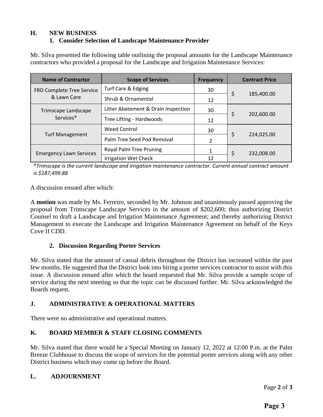#### **H. NEW BUSINESS 1. Consider Selection of Landscape Maintenance Provider**

Mr. Silva presented the following table outlining the proposal amounts for the Landscape Maintenance contractors who provided a proposal for the Landscape and Irrigation Maintenance Services:

| <b>Name of Contractor</b>      | <b>Scope of Services</b>            | <b>Frequency</b> | <b>Contract Price</b> |
|--------------------------------|-------------------------------------|------------------|-----------------------|
| FRD Complete Tree Service      | Turf Care & Edging                  | 30               |                       |
| & Lawn Care                    | Shrub & Ornamental                  | 12               | \$<br>185,400.00      |
| Trimscape Landscape            | Litter Abatement & Drain Inspection | 30               |                       |
| Services <sup>*</sup>          | Tree Lifting - Hardwoods            | 12               | \$<br>202,600.00      |
|                                | <b>Weed Control</b>                 | 30               |                       |
| <b>Turf Management</b>         | Palm Tree Seed Pod Removal          | $\mathcal{P}$    | \$<br>224,025.00      |
| <b>Emergency Lawn Services</b> | Royal Palm Tree Pruning             |                  | \$<br>232,008.00      |
|                                | <b>Irrigation Wet Check</b>         | 12               |                       |

\**Trimscape is the current landscape and irrigation maintenance contractor. Current annual contract amount is \$187,499.88*

A discussion ensued after which:

A **motion** was made by Ms. Ferreiro, seconded by Mr. Johnson and unanimously passed approving the proposal from Trimscape Landscape Services in the amount of \$202,600; thus authorizing District Counsel to draft a Landscape and Irrigation Maintenance Agreement; and thereby authorizing District Management to execute the Landscape and Irrigation Maintenance Agreement on behalf of the Keys Cove II CDD.

#### **2. Discussion Regarding Porter Services**

Mr. Silva stated that the amount of casual debris throughout the District has increased within the past few months. He suggested that the District look into hiring a porter services contractor to assist with this issue. A discussion ensued after which the board requested that Mr. Silva provide a sample scope of service during the next meeting so that the topic can be discussed further. Mr. Silva acknowledged the Boards request.

### **J. ADMINISTRATIVE & OPERATIONAL MATTERS**

There were no administrative and operational matters.

### **K. BOARD MEMBER & STAFF CLOSING COMMENTS**

Mr. Silva stated that there would be a Special Meeting on January 12, 2022 at 12:00 P.m. at the Palm Breeze Clubhouse to discuss the scope of services for the potential porter services along with any other District business which may come up before the Board.

### **L. ADJOURNMENT**

Page **2** of **3**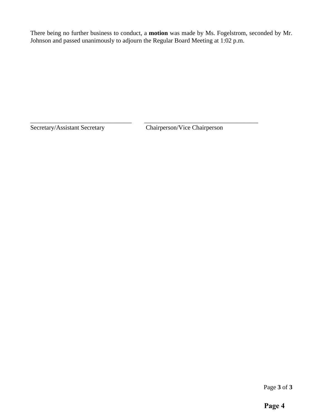There being no further business to conduct, a **motion** was made by Ms. Fogelstrom, seconded by Mr. Johnson and passed unanimously to adjourn the Regular Board Meeting at 1:02 p.m.

\_\_\_\_\_\_\_\_\_\_\_\_\_\_\_\_\_\_\_\_\_\_\_\_\_\_\_\_\_\_\_\_ \_\_\_\_\_\_\_\_\_\_\_\_\_\_\_\_\_\_\_\_\_\_\_\_\_\_\_\_\_\_\_\_\_\_\_\_

Secretary/Assistant Secretary Chairperson/Vice Chairperson

Page **3** of **3**